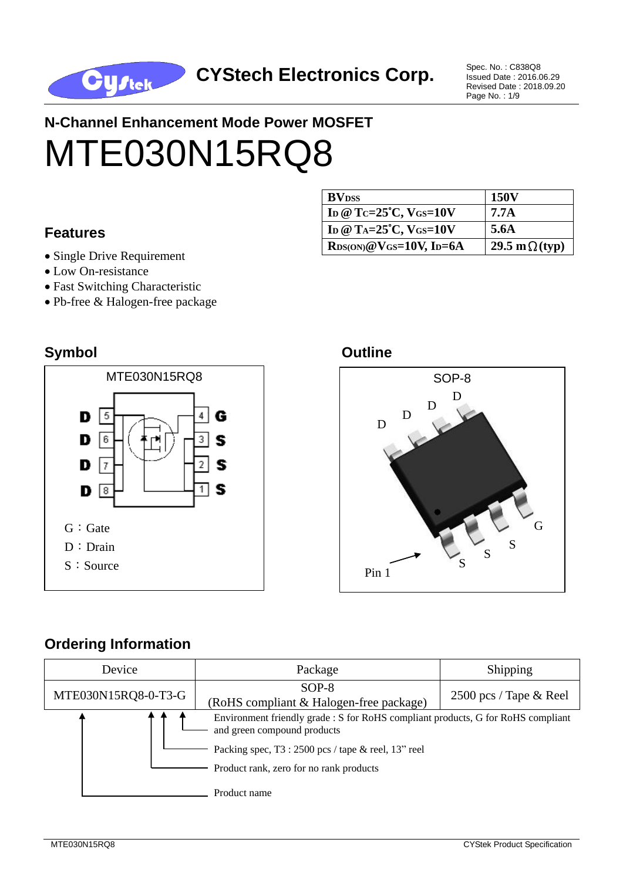

Issued Date : 2016.06.29 Revised Date : 2018.09.20 Page No. : 1/9

# **N-Channel Enhancement Mode Power MOSFET** MTE030N15RQ8

#### **Features**

- Single Drive Requirement
- Low On-resistance
- Fast Switching Characteristic
- Pb-free & Halogen-free package

#### **Symbol Outline**



#### **BV**<sub>DSS</sub> 150V **ID @ TC=25**°**C, VGS=10V 7.7A ID @ TA=25**°**C, VGS=10V 5.6A**  $\text{R}_\text{DS}(\overline{\text{ON}})$  @  $\text{V}_\text{GS}$  = 10 $\text{V}$ , I<sub>D</sub>=6A 29.5 m  $\Omega$  (typ)

## S S S G D D  $\mathbf D$ D

### **Ordering Information**

| Device              | Package                                                                                                         | Shipping                  |  |
|---------------------|-----------------------------------------------------------------------------------------------------------------|---------------------------|--|
| MTE030N15RQ8-0-T3-G | $SOP-8$<br>(RoHS compliant & Halogen-free package)                                                              | 2500 pcs / Tape $\&$ Reel |  |
|                     | Environment friendly grade : S for RoHS compliant products, G for RoHS compliant<br>and green compound products |                           |  |
|                     | Packing spec, $T3:2500$ pcs / tape & reel, $13"$ reel<br>Product rank, zero for no rank products                |                           |  |
|                     | Product name                                                                                                    |                           |  |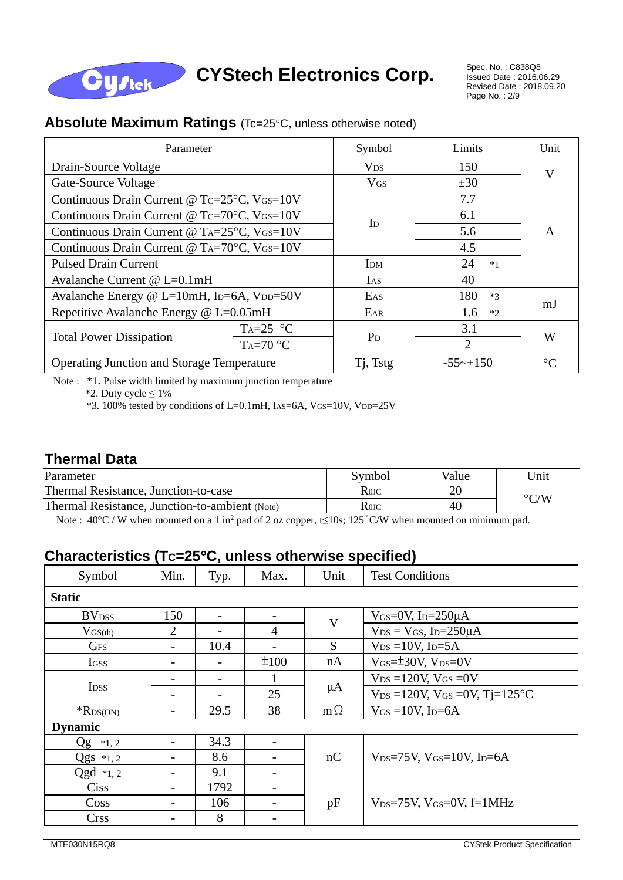

Issued Date : 2016.06.29 Revised Date : 2018.09.20 Page No. : 2/9

#### **Absolute Maximum Ratings** (Tc=25°C, unless otherwise noted)

| Parameter                                                                       |            | Symbol                    | Limits      | Unit |  |
|---------------------------------------------------------------------------------|------------|---------------------------|-------------|------|--|
| Drain-Source Voltage                                                            |            | <b>V<sub>DS</sub></b>     | 150         | V    |  |
| Gate-Source Voltage                                                             |            | <b>V<sub>GS</sub></b>     | ±30         |      |  |
| Continuous Drain Current @ Tc=25°C, VGS=10V                                     |            |                           | 7.7         |      |  |
| Continuous Drain Current @ Tc=70°C, VGS=10V                                     |            | $\mathbf{I}_{\mathrm{D}}$ | 6.1         | A    |  |
| Continuous Drain Current @ TA=25°C, VGS=10V                                     |            |                           | 5.6         |      |  |
| Continuous Drain Current @ T <sub>A</sub> =70 $\degree$ C, V <sub>GS</sub> =10V |            |                           | 4.5         |      |  |
| <b>Pulsed Drain Current</b>                                                     |            | IDM                       | 24<br>$*1$  |      |  |
| Avalanche Current @ L=0.1mH                                                     |            | IAS                       | 40          |      |  |
| Avalanche Energy @ L=10mH, ID=6A, VDD=50V                                       |            | EAS                       | 180<br>$*3$ |      |  |
| Repetitive Avalanche Energy @ L=0.05mH                                          |            | EAR                       | 1.6<br>$*2$ | m.J  |  |
| <b>Total Power Dissipation</b>                                                  | $Ta=25$ °C | $P_D$                     | 3.1         | W    |  |
|                                                                                 | $Ta=70 °C$ |                           | 2           |      |  |
| Operating Junction and Storage Temperature                                      | Tj, Tstg   | $-55\sim +150$            | $^{\circ}C$ |      |  |

Note : \*1. Pulse width limited by maximum junction temperature

\*2. Duty cycle  $\leq 1\%$ 

**Cystek** 

\*3. 100% tested by conditions of L=0.1mH, IAS=6A, VGS=10V, VDD=25V

#### **Thermal Data**

| Parameter                                      | Symbol             | Value | Jnit               |  |
|------------------------------------------------|--------------------|-------|--------------------|--|
| Thermal Resistance, Junction-to-case           | $\rm R$ 0JC        |       |                    |  |
| Thermal Resistance, Junction-to-ambient (Note) | $\rm R$ 0J $\rm C$ |       | $\rm ^{\circ} C/W$ |  |

Note : 40 °C / W when mounted on a 1 in<sup>2</sup> pad of 2 oz copper, t≤10s; 125 °C/W when mounted on minimum pad.

#### **Characteristics (TC=25C, unless otherwise specified)**

| Symbol                   | Min.                     | Typ.                     | Max. | Unit        | <b>Test Conditions</b>                           |  |  |  |
|--------------------------|--------------------------|--------------------------|------|-------------|--------------------------------------------------|--|--|--|
| <b>Static</b>            |                          |                          |      |             |                                                  |  |  |  |
| <b>BV</b> <sub>DSS</sub> | 150                      | $\blacksquare$           |      | $\mathbf V$ | V <sub>GS</sub> =0V, I <sub>D</sub> =250 $\mu$ A |  |  |  |
| $V_{GS(th)}$             | $\overline{2}$           |                          | 4    |             | $V_{DS} = V_{GS}$ , I <sub>D</sub> =250 $\mu$ A  |  |  |  |
| <b>GFS</b>               | $\overline{\phantom{a}}$ | 10.4                     | -    | S           | $V_{DS} = 10V$ , I <sub>D</sub> =5A              |  |  |  |
| Igss                     |                          |                          | ±100 | nA          | $V$ <sub>GS</sub> $=\pm 30V$ , $V_{DS}=0V$       |  |  |  |
| <b>I</b> <sub>DSS</sub>  |                          | $\overline{\phantom{a}}$ |      | $\mu A$     | $V_{DS} = 120V$ , $V_{GS} = 0V$                  |  |  |  |
|                          |                          |                          | 25   |             | $V_{DS} = 120V$ , $V_{GS} = 0V$ , $Tj = 125°C$   |  |  |  |
| $R_{DS(ON)}$             |                          | 29.5                     | 38   | $m\Omega$   | $V_{GS} = 10V$ , I <sub>D</sub> =6A              |  |  |  |
| <b>Dynamic</b>           |                          |                          |      |             |                                                  |  |  |  |
| $Qg *_{1,2}$             | -                        | 34.3                     |      |             |                                                  |  |  |  |
| $Qgs *1,2$               |                          | 8.6                      |      | nC          | $V_{DS}=75V$ , $V_{GS}=10V$ , $I_{D}=6A$         |  |  |  |
| $Qgd *1,2$               | -                        | 9.1                      | -    |             |                                                  |  |  |  |
| <b>Ciss</b>              |                          | 1792                     |      |             |                                                  |  |  |  |
| Coss                     |                          | 106                      |      | pF          | $V_{DS}=75V$ , $V_{GS}=0V$ , $f=1MHz$            |  |  |  |
| <b>Crss</b>              |                          | 8                        |      |             |                                                  |  |  |  |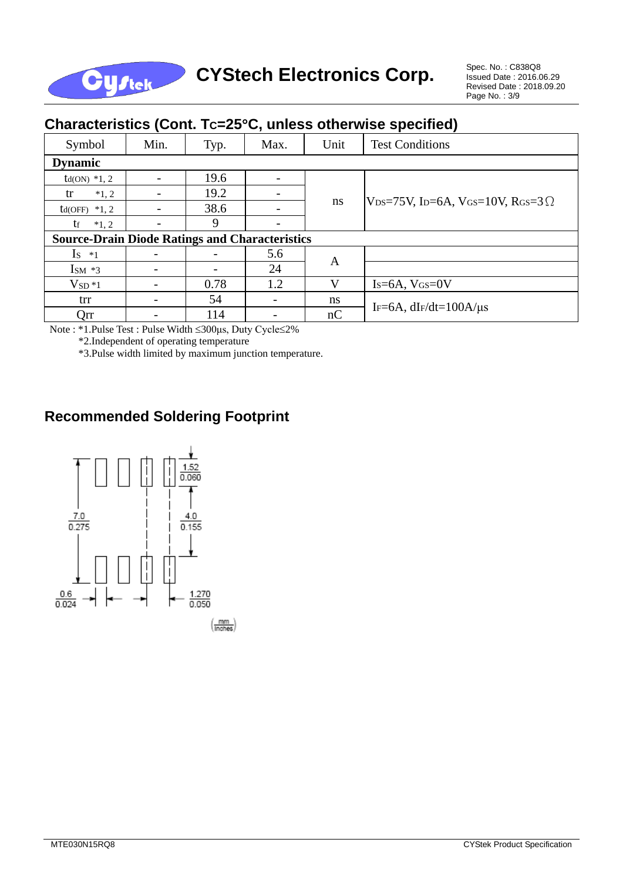

## CYStech Electronics Corp. Spec. No. : C838Q8

Issued Date : 2016.06.29 Revised Date : 2018.09.20 Page No. : 3/9

| Cridiacteristics (COIII. TC-20 G, unicss Otherwise specified) |      |      |      |               |                                                                                             |  |  |  |
|---------------------------------------------------------------|------|------|------|---------------|---------------------------------------------------------------------------------------------|--|--|--|
| Symbol                                                        | Min. | Typ. | Max. | Unit          | <b>Test Conditions</b>                                                                      |  |  |  |
| <b>Dynamic</b>                                                |      |      |      |               |                                                                                             |  |  |  |
| $td(ON) *1, 2$                                                |      | 19.6 |      |               |                                                                                             |  |  |  |
| tr<br>$*1, 2$                                                 |      | 19.2 |      |               |                                                                                             |  |  |  |
| $td(OFF) *1, 2$                                               |      | 38.6 |      | <sub>ns</sub> | V <sub>DS</sub> =75V, I <sub>D</sub> =6A, V <sub>GS</sub> =10V, R <sub>GS</sub> =3 $\Omega$ |  |  |  |
| $*1.2$<br>tr                                                  |      | 9    |      |               |                                                                                             |  |  |  |
| <b>Source-Drain Diode Ratings and Characteristics</b>         |      |      |      |               |                                                                                             |  |  |  |
| $Is *1$                                                       |      |      | 5.6  |               |                                                                                             |  |  |  |
| $\text{Im}$ *3                                                |      |      | 24   | A             |                                                                                             |  |  |  |
| $VSD*1$                                                       |      | 0.78 | 1.2  | V             | $Is=6A, V(s=0V)$                                                                            |  |  |  |
| trr                                                           |      | 54   |      | ns            | IF=6A, $dF/dt=100A/\mu s$                                                                   |  |  |  |
| Qrr                                                           |      | 114  |      | nC            |                                                                                             |  |  |  |

#### **Characteristics (Cont. TC=25C, unless otherwise specified)**

Note : \*1.Pulse Test : Pulse Width 300μs, Duty Cycle2%

\*2.Independent of operating temperature

\*3.Pulse width limited by maximum junction temperature.

#### **Recommended Soldering Footprint**

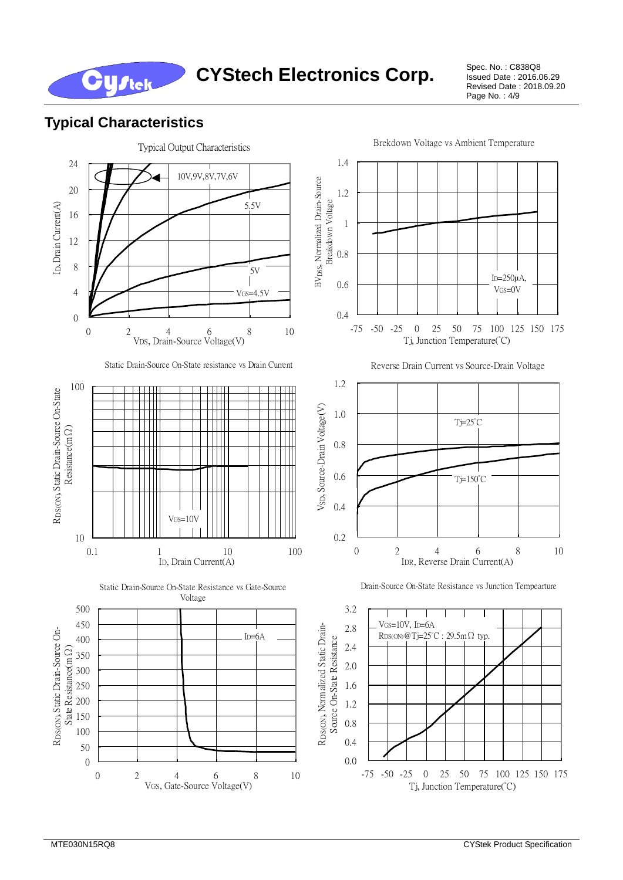Issued Date : 2016.06.29 Revised Date : 2018.09.20 Page No. : 4/9

#### **Typical Characteristics**

**Cystek** 

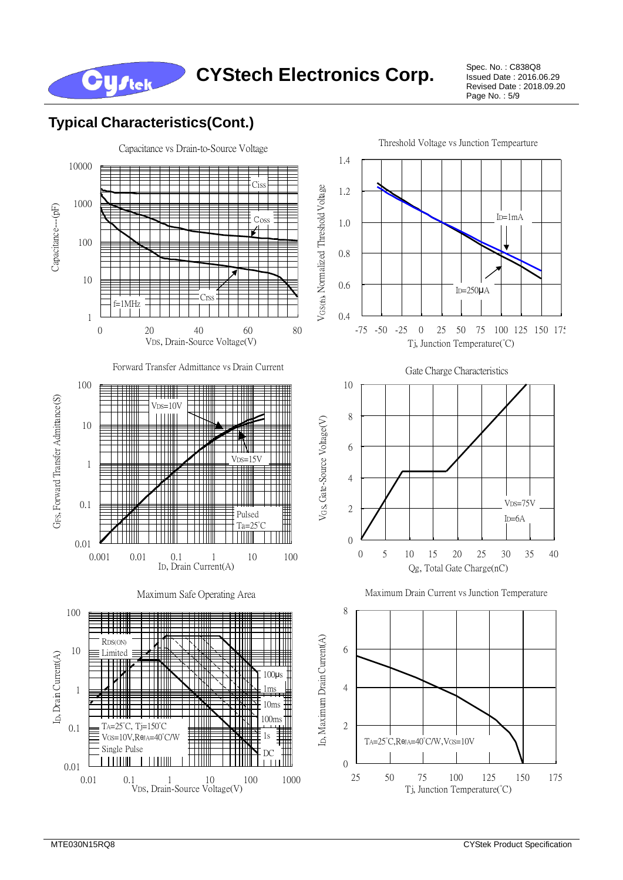Issued Date : 2016.06.29 Revised Date : 2018.09.20 Page No. : 5/9

### **Typical Characteristics(Cont.)**

**Cystek** 

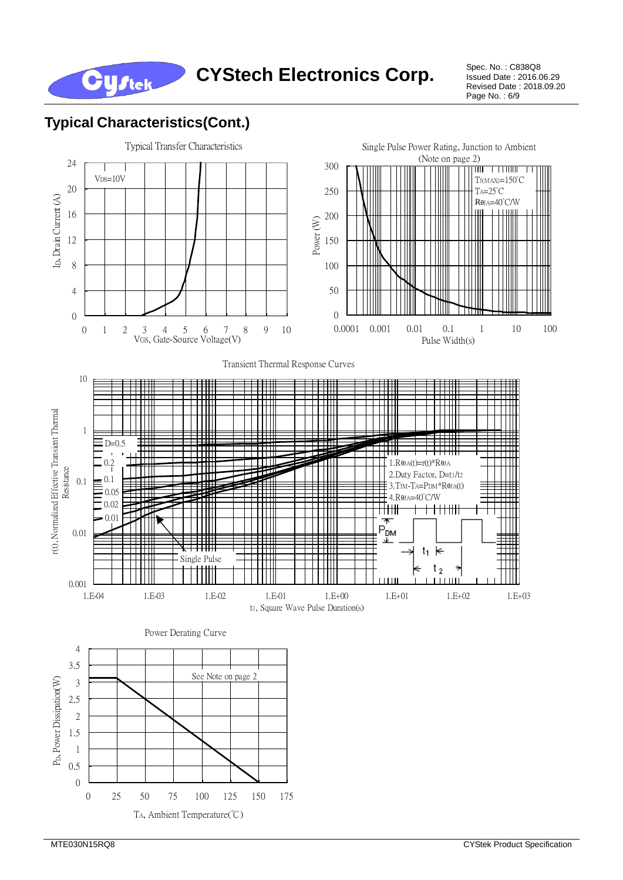

Issued Date : 2016.06.29 Revised Date : 2018.09.20 Page No. : 6/9

#### **Typical Characteristics(Cont.)**

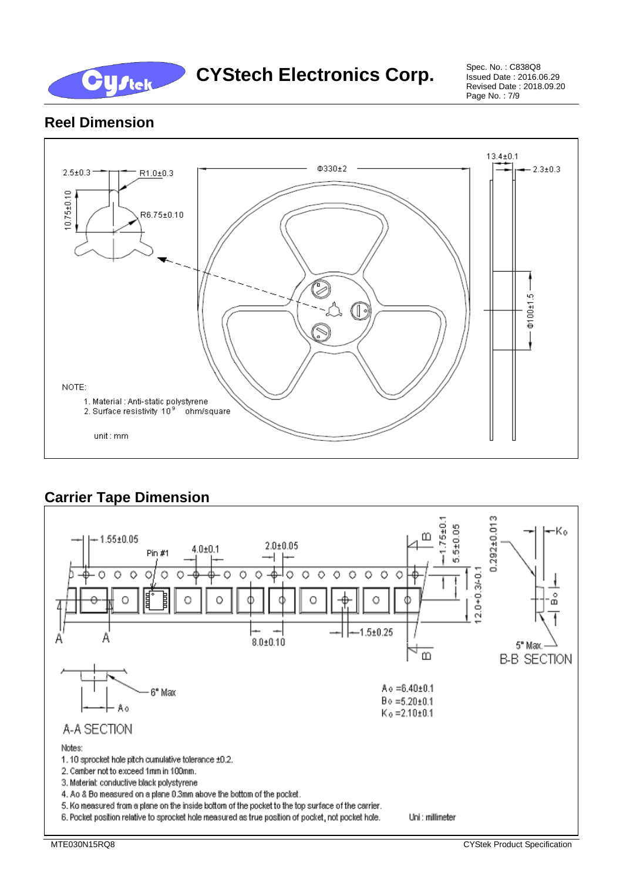

Issued Date : 2016.06.29 Revised Date : 2018.09.20 Page No. : 7/9

#### **Reel Dimension**



### **Carrier Tape Dimension**

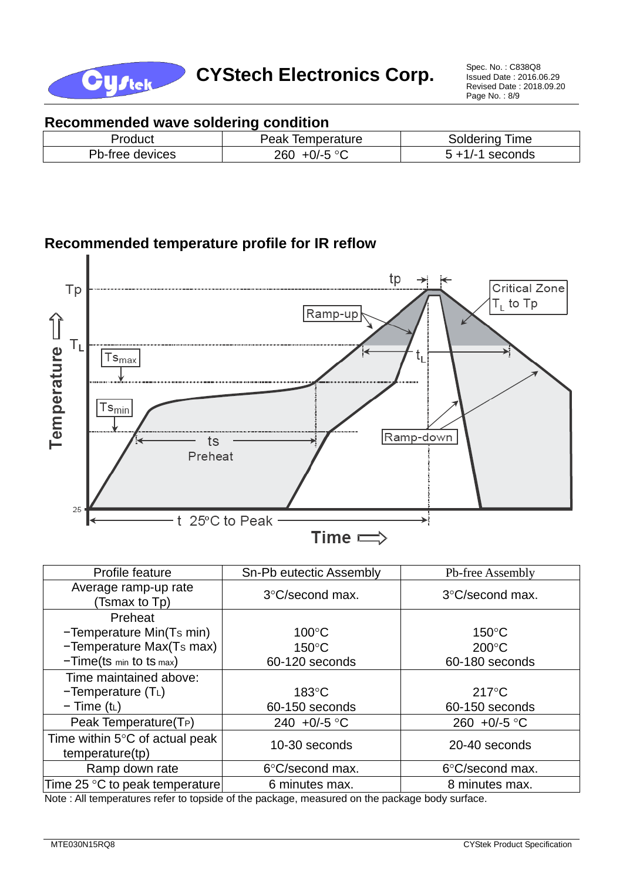

#### **Recommended wave soldering condition**

| paucu              | Temperature<br>Peak          | ime<br>лаенг |
|--------------------|------------------------------|--------------|
| Pb-free<br>devices | E OO<br>260<br>$11 - r$<br>ັ | seconds      |

#### **Recommended temperature profile for IR reflow**



| Profile feature                                             | Sn-Pb eutectic Assembly   | Pb-free Assembly       |  |  |
|-------------------------------------------------------------|---------------------------|------------------------|--|--|
| Average ramp-up rate<br>(Tsmax to Tp)                       | 3°C/second max.           | 3°C/second max.        |  |  |
| Preheat                                                     |                           |                        |  |  |
| -Temperature Min(Ts min)                                    | $100^{\circ}$ C           | $150^{\circ}$ C        |  |  |
| -Temperature Max(Ts max)                                    | $150^{\circ}$ C           | $200^{\circ}$ C        |  |  |
| $-Time(ts \ min to ts \ max)$                               | 60-120 seconds            | 60-180 seconds         |  |  |
| Time maintained above:                                      |                           |                        |  |  |
| $-Temperature(TL)$                                          | $183^{\circ}$ C           | $217^{\circ}$ C        |  |  |
| $-$ Time (t <sub>L</sub> )                                  | 60-150 seconds            | 60-150 seconds         |  |  |
| Peak Temperature(T <sub>P</sub> )                           | 240 +0/-5 °C              | 260 +0/-5 $^{\circ}$ C |  |  |
| Time within $5^{\circ}$ C of actual peak<br>temperature(tp) | 10-30 seconds             | 20-40 seconds          |  |  |
| Ramp down rate                                              | $6^{\circ}$ C/second max. | 6°C/second max.        |  |  |
| Time 25 °C to peak temperature                              | 6 minutes max.            | 8 minutes max.         |  |  |

Note : All temperatures refer to topside of the package, measured on the package body surface.